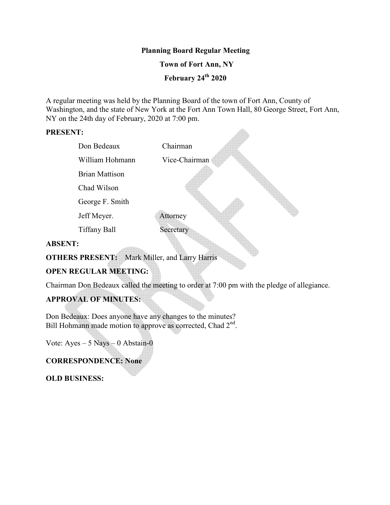### **Planning Board Regular Meeting**

### **Town of Fort Ann, NY**

 **February 24th 2020**

A regular meeting was held by the Planning Board of the town of Fort Ann, County of Washington, and the state of New York at the Fort Ann Town Hall, 80 George Street, Fort Ann, NY on the 24th day of February, 2020 at 7:00 pm.

 $\triangle$ 

#### **PRESENT:**

|          | Don Bedeaux           | Chairman      |
|----------|-----------------------|---------------|
|          | William Hohmann       | Vice-Chairman |
|          | <b>Brian Mattison</b> |               |
|          | Chad Wilson           |               |
|          | George F. Smith       |               |
|          | Jeff Meyer.           | Attorney      |
|          | <b>Tiffany Ball</b>   | Secretary     |
| ' DODN'D |                       |               |

### **ABSENT:**

**OTHERS PRESENT:** Mark Miller, and Larry Harris

## **OPEN REGULAR MEETING:**

Chairman Don Bedeaux called the meeting to order at 7:00 pm with the pledge of allegiance.

# **APPROVAL OF MINUTES:**

Don Bedeaux: Does anyone have any changes to the minutes? Bill Hohmann made motion to approve as corrected, Chad  $2<sup>nd</sup>$ .

Vote: Ayes – 5 Nays – 0 Abstain-0

### **CORRESPONDENCE: None**

**OLD BUSINESS:**